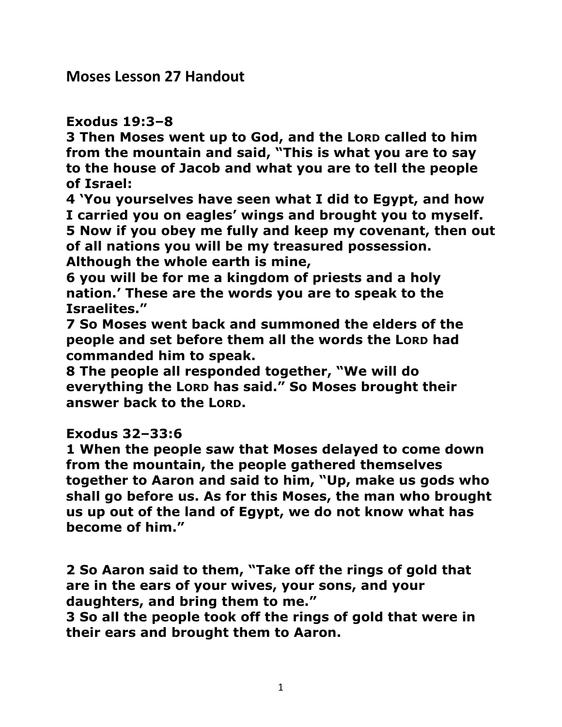**Moses Lesson 27 Handout** 

#### **Exodus 19:3–8**

**3 Then Moses went up to God, and the LORD called to him from the mountain and said, "This is what you are to say to the house of Jacob and what you are to tell the people of Israel:** 

**4 'You yourselves have seen what I did to Egypt, and how I carried you on eagles' wings and brought you to myself. 5 Now if you obey me fully and keep my covenant, then out of all nations you will be my treasured possession. Although the whole earth is mine,** 

**6 you will be for me a kingdom of priests and a holy nation.' These are the words you are to speak to the Israelites."** 

**7 So Moses went back and summoned the elders of the people and set before them all the words the LORD had commanded him to speak.** 

**8 The people all responded together, "We will do everything the LORD has said." So Moses brought their answer back to the LORD.** 

## **Exodus 32–33:6**

**1 When the people saw that Moses delayed to come down from the mountain, the people gathered themselves together to Aaron and said to him, "Up, make us gods who shall go before us. As for this Moses, the man who brought us up out of the land of Egypt, we do not know what has become of him."** 

**2 So Aaron said to them, "Take off the rings of gold that are in the ears of your wives, your sons, and your daughters, and bring them to me."** 

**3 So all the people took off the rings of gold that were in their ears and brought them to Aaron.**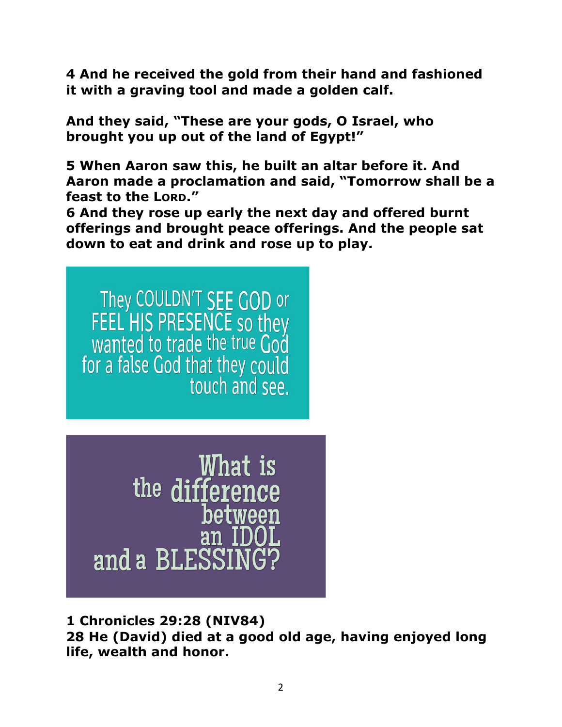**4 And he received the gold from their hand and fashioned it with a graving tool and made a golden calf.** 

**And they said, "These are your gods, O Israel, who brought you up out of the land of Egypt!"** 

**5 When Aaron saw this, he built an altar before it. And Aaron made a proclamation and said, "Tomorrow shall be a feast to the LORD."** 

**6 And they rose up early the next day and offered burnt offerings and brought peace offerings. And the people sat down to eat and drink and rose up to play.**

They COULDN'T SEE GOD or<br>FEEL HIS PRESENCE so they<br>wanted to trade the true God for a false God that they could touch and see.

What is<br>the difference between and a BLESSIN

**1 Chronicles 29:28 (NIV84) 28 He (David) died at a good old age, having enjoyed long life, wealth and honor.**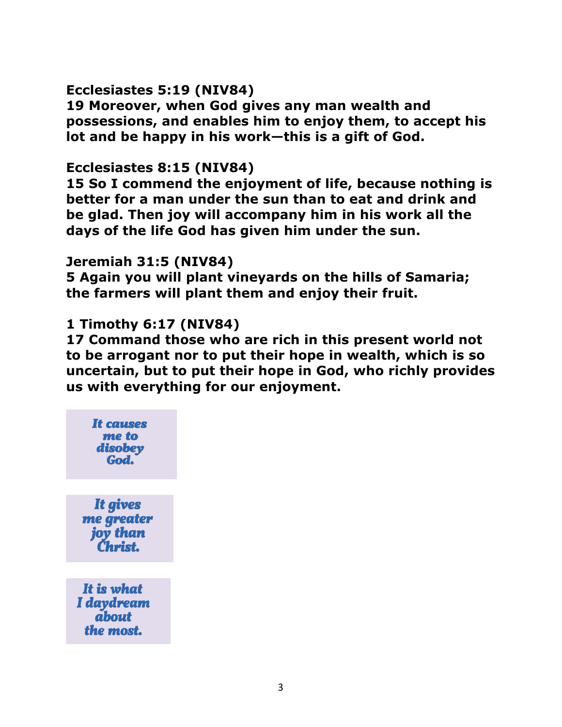## **Ecclesiastes 5:19 (NIV84)**

**19 Moreover, when God gives any man wealth and possessions, and enables him to enjoy them, to accept his lot and be happy in his work—this is a gift of God.** 

#### **Ecclesiastes 8:15 (NIV84)**

**15 So I commend the enjoyment of life, because nothing is better for a man under the sun than to eat and drink and be glad. Then joy will accompany him in his work all the days of the life God has given him under the sun.** 

## **Jeremiah 31:5 (NIV84)**

**5 Again you will plant vineyards on the hills of Samaria; the farmers will plant them and enjoy their fruit.** 

# **1 Timothy 6:17 (NIV84)**

**17 Command those who are rich in this present world not to be arrogant nor to put their hope in wealth, which is so uncertain, but to put their hope in God, who richly provides us with everything for our enjoyment.** 

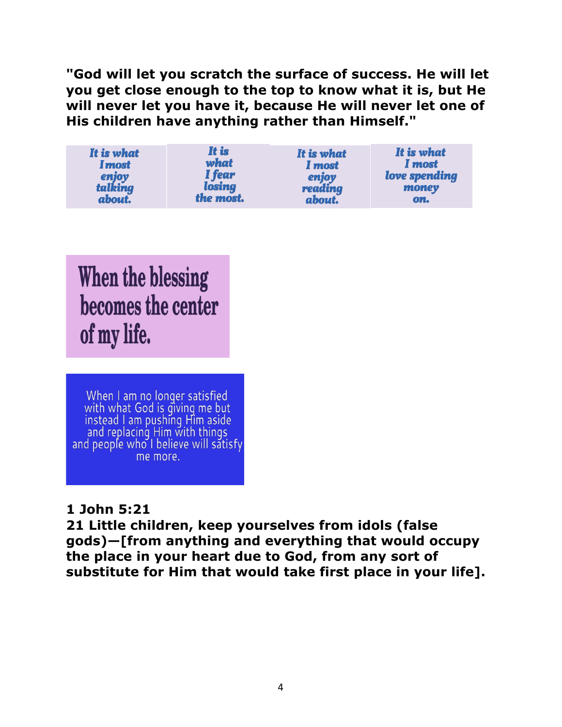**"God will let you scratch the surface of success. He will let you get close enough to the top to know what it is, but He will never let you have it, because He will never let one of His children have anything rather than Himself."**

| It is what    | It is     | It is what | It is what    |
|---------------|-----------|------------|---------------|
| <b>I</b> most | what      | I most     | I most        |
| enjoy         | I fear    | enjoy      | love spending |
| talking       | losing    | reading    | money         |
| about.        | the most. | about.     | on.           |

When the blessing becomes the center of my life.

When I am no longer satisfied with what God is giving me but<br>instead I am pushing Him aside<br>and replacing Him with things<br>and people who I believe will satisfy me more.

## **1 John 5:21**

**21 Little children, keep yourselves from idols (false gods)—[from anything and everything that would occupy the place in your heart due to God, from any sort of substitute for Him that would take first place in your life].**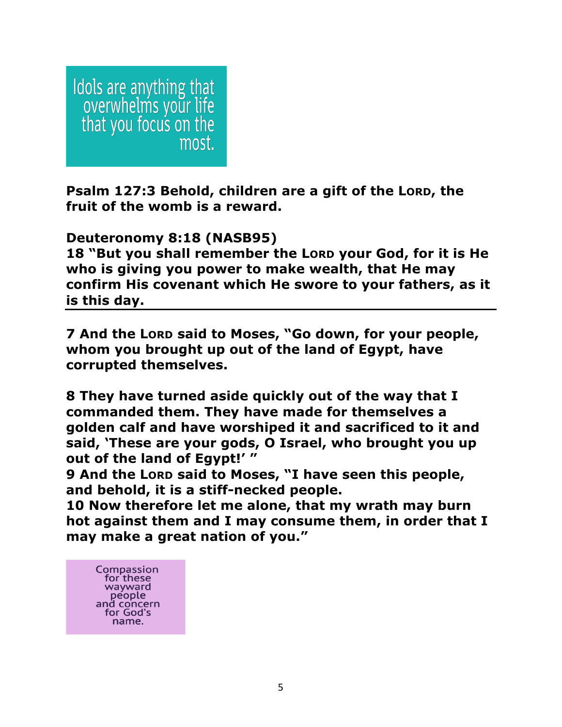Idols are anything that<br>overwhelms your life<br>that you focus on the most.

**Psalm 127:3 Behold, children are a gift of the LORD, the fruit of the womb is a reward.**

**Deuteronomy 8:18 (NASB95)**

**18 "But you shall remember the LORD your God, for it is He who is giving you power to make wealth, that He may confirm His covenant which He swore to your fathers, as it is this day.** 

**7 And the LORD said to Moses, "Go down, for your people, whom you brought up out of the land of Egypt, have corrupted themselves.** 

**8 They have turned aside quickly out of the way that I commanded them. They have made for themselves a golden calf and have worshiped it and sacrificed to it and said, 'These are your gods, O Israel, who brought you up out of the land of Egypt!' "** 

**9 And the LORD said to Moses, "I have seen this people, and behold, it is a stiff-necked people.** 

**10 Now therefore let me alone, that my wrath may burn hot against them and I may consume them, in order that I may make a great nation of you."**

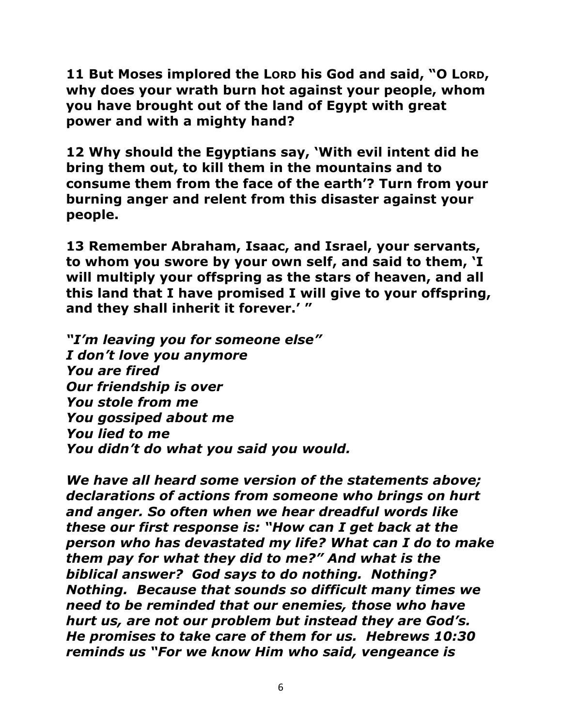**11 But Moses implored the LORD his God and said, "O LORD, why does your wrath burn hot against your people, whom you have brought out of the land of Egypt with great power and with a mighty hand?** 

**12 Why should the Egyptians say, 'With evil intent did he bring them out, to kill them in the mountains and to consume them from the face of the earth'? Turn from your burning anger and relent from this disaster against your people.** 

**13 Remember Abraham, Isaac, and Israel, your servants, to whom you swore by your own self, and said to them, 'I will multiply your offspring as the stars of heaven, and all this land that I have promised I will give to your offspring, and they shall inherit it forever.' "** 

*"I'm leaving you for someone else" I don't love you anymore You are fired Our friendship is over You stole from me You gossiped about me You lied to me You didn't do what you said you would.*

*We have all heard some version of the statements above; declarations of actions from someone who brings on hurt and anger. So often when we hear dreadful words like these our first response is: "How can I get back at the person who has devastated my life? What can I do to make them pay for what they did to me?" And what is the biblical answer? God says to do nothing. Nothing? Nothing. Because that sounds so difficult many times we need to be reminded that our enemies, those who have hurt us, are not our problem but instead they are God's. He promises to take care of them for us. Hebrews 10:30 reminds us "For we know Him who said, vengeance is*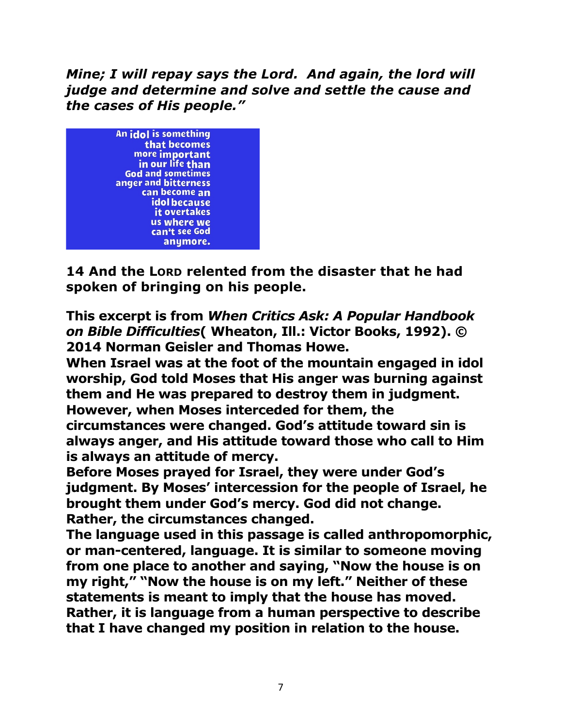*Mine; I will repay says the Lord. And again, the lord will judge and determine and solve and settle the cause and the cases of His people."*



**14 And the LORD relented from the disaster that he had spoken of bringing on his people.** 

**This excerpt is from** *When Critics Ask: A Popular Handbook on Bible Difficulties***( Wheaton, Ill.: Victor Books, 1992). © 2014 Norman Geisler and Thomas Howe.**

**When Israel was at the foot of the mountain engaged in idol worship, God told Moses that His anger was burning against them and He was prepared to destroy them in judgment. However, when Moses interceded for them, the circumstances were changed. God's attitude toward sin is always anger, and His attitude toward those who call to Him is always an attitude of mercy.** 

**Before Moses prayed for Israel, they were under God's judgment. By Moses' intercession for the people of Israel, he brought them under God's mercy. God did not change. Rather, the circumstances changed.** 

**The language used in this passage is called anthropomorphic, or man-centered, language. It is similar to someone moving from one place to another and saying, "Now the house is on my right," "Now the house is on my left." Neither of these statements is meant to imply that the house has moved. Rather, it is language from a human perspective to describe that I have changed my position in relation to the house.**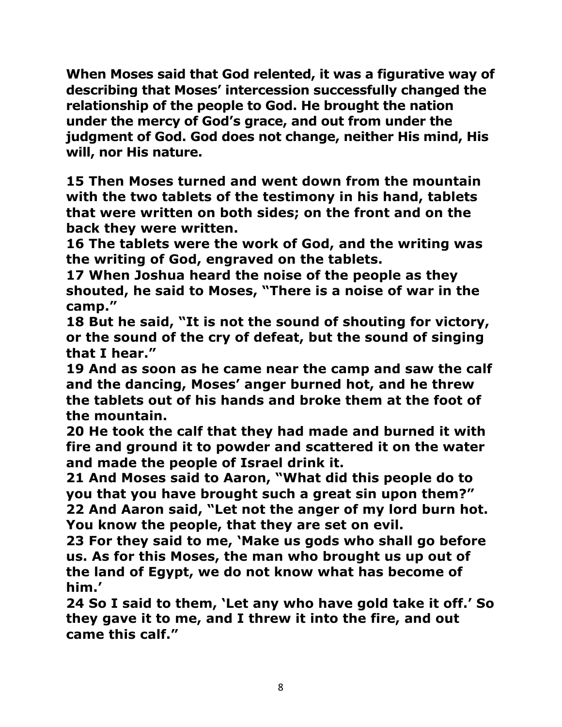**When Moses said that God relented, it was a figurative way of describing that Moses' intercession successfully changed the relationship of the people to God. He brought the nation under the mercy of God's grace, and out from under the judgment of God. God does not change, neither His mind, His will, nor His nature.**

**15 Then Moses turned and went down from the mountain with the two tablets of the testimony in his hand, tablets that were written on both sides; on the front and on the back they were written.** 

**16 The tablets were the work of God, and the writing was the writing of God, engraved on the tablets.** 

**17 When Joshua heard the noise of the people as they shouted, he said to Moses, "There is a noise of war in the camp."** 

**18 But he said, "It is not the sound of shouting for victory, or the sound of the cry of defeat, but the sound of singing that I hear."** 

**19 And as soon as he came near the camp and saw the calf and the dancing, Moses' anger burned hot, and he threw the tablets out of his hands and broke them at the foot of the mountain.** 

**20 He took the calf that they had made and burned it with fire and ground it to powder and scattered it on the water and made the people of Israel drink it.** 

**21 And Moses said to Aaron, "What did this people do to you that you have brought such a great sin upon them?" 22 And Aaron said, "Let not the anger of my lord burn hot. You know the people, that they are set on evil.** 

**23 For they said to me, 'Make us gods who shall go before us. As for this Moses, the man who brought us up out of the land of Egypt, we do not know what has become of him.'** 

**24 So I said to them, 'Let any who have gold take it off.' So they gave it to me, and I threw it into the fire, and out came this calf."**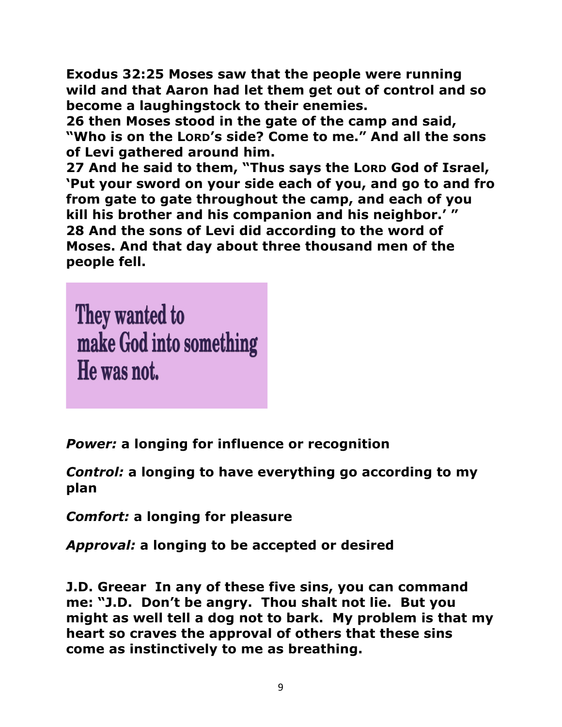**Exodus 32:25 Moses saw that the people were running wild and that Aaron had let them get out of control and so become a laughingstock to their enemies.** 

**26 then Moses stood in the gate of the camp and said, "Who is on the LORD's side? Come to me." And all the sons of Levi gathered around him.** 

**27 And he said to them, "Thus says the LORD God of Israel, 'Put your sword on your side each of you, and go to and fro from gate to gate throughout the camp, and each of you kill his brother and his companion and his neighbor.' " 28 And the sons of Levi did according to the word of Moses. And that day about three thousand men of the people fell.** 

They wanted to make God into something He was not.

*Power:* **a longing for influence or recognition**

*Control:* **a longing to have everything go according to my plan**

*Comfort:* **a longing for pleasure**

*Approval:* **a longing to be accepted or desired**

**J.D. Greear In any of these five sins, you can command me: "J.D. Don't be angry. Thou shalt not lie. But you might as well tell a dog not to bark. My problem is that my heart so craves the approval of others that these sins come as instinctively to me as breathing.**